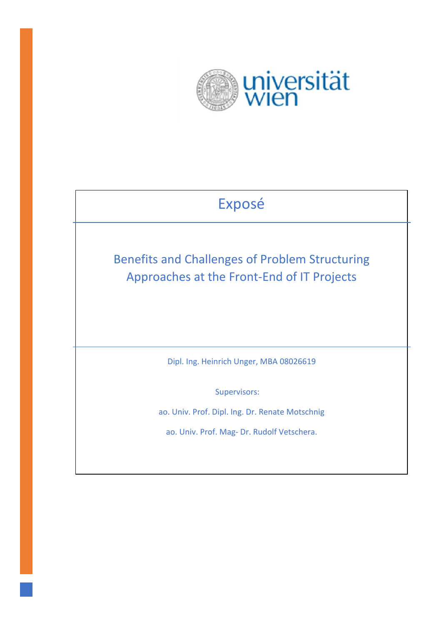

# Exposé

Benefits and Challenges of Problem Structuring Approaches at the Front-End of IT Projects

Dipl. Ing. Heinrich Unger, MBA 08026619

Supervisors:

ao. Univ. Prof. Dipl. Ing. Dr. Renate Motschnig

ao. Univ. Prof. Mag- Dr. Rudolf Vetschera.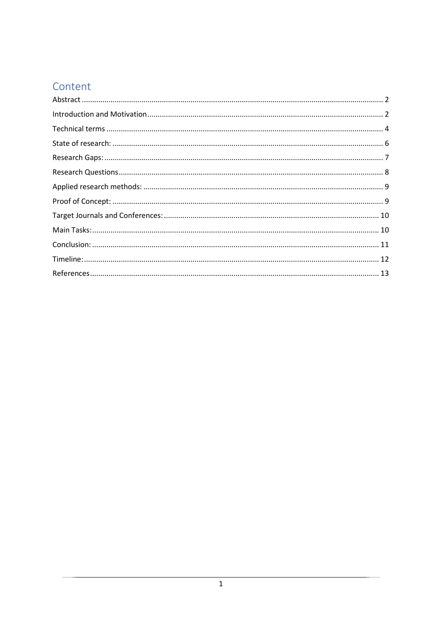# Content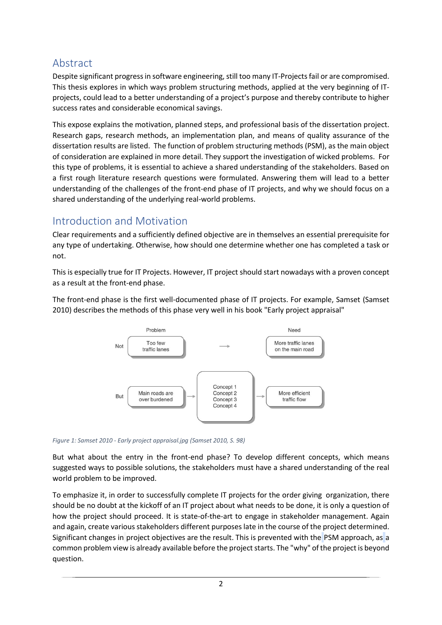# <span id="page-2-0"></span>Abstract

Despite significant progress in software engineering, still too many IT-Projects fail or are compromised. This thesis explores in which ways problem structuring methods, applied at the very beginning of ITprojects, could lead to a better understanding of a project's purpose and thereby contribute to higher success rates and considerable economical savings.

This expose explains the motivation, planned steps, and professional basis of the dissertation project. Research gaps, research methods, an implementation plan, and means of quality assurance of the dissertation results are listed. The function of problem structuring methods (PSM), as the main object of consideration are explained in more detail. They support the investigation of wicked problems. For this type of problems, it is essential to achieve a shared understanding of the stakeholders. Based on a first rough literature research questions were formulated. Answering them will lead to a better understanding of the challenges of the front-end phase of IT projects, and why we should focus on a shared understanding of the underlying real-world problems.

### <span id="page-2-1"></span>Introduction and Motivation

Clear requirements and a sufficiently defined objective are in themselves an essential prerequisite for any type of undertaking. Otherwise, how should one determine whether one has completed a task or not.

This is especially true for IT Projects. However, IT project should start nowadays with a proven concept as a result at the front-end phase.

The front-end phase is the first well-documented phase of IT projects. For example, Samset (Samset 2010) describes the methods of this phase very well in his book "Early project appraisal"



*Figure 1: Samset 2010 - Early project appraisal.jpg (Samset 2010, S. 98)*

But what about the entry in the front-end phase? To develop different concepts, which means suggested ways to possible solutions, the stakeholders must have a shared understanding of the real world problem to be improved.

To emphasize it, in order to successfully complete IT projects for the order giving organization, there should be no doubt at the kickoff of an IT project about what needs to be done, it is only a question of how the project should proceed. It is state-of-the-art to engage in stakeholder management. Again and again, create various stakeholders different purposes late in the course of the project determined. Significant changes in project objectives are the result. This is prevented with the PSM approach, as a common problem view is already available before the project starts. The "why" of the project is beyond question.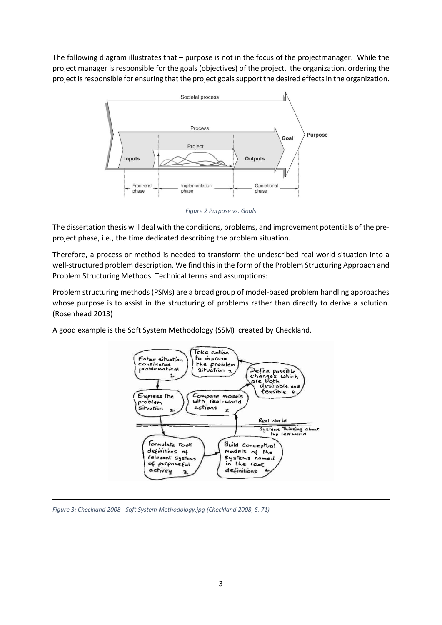The following diagram illustrates that – purpose is not in the focus of the projectmanager. While the project manager is responsible for the goals (objectives) of the project, the organization, ordering the project is responsible for ensuring that the project goalssupport the desired effects in the organization.



*Figure 2 Purpose vs. Goals*

The dissertation thesis will deal with the conditions, problems, and improvement potentials of the preproject phase, i.e., the time dedicated describing the problem situation.

Therefore, a process or method is needed to transform the undescribed real-world situation into a well-structured problem description. We find this in the form of the Problem Structuring Approach and Problem Structuring Methods. Technical terms and assumptions:

Problem structuring methods (PSMs) are a broad group of model-based problem handling approaches whose purpose is to assist in the structuring of problems rather than directly to derive a solution. (Rosenhead 2013)

A good example is the Soft System Methodology (SSM) created by Checkland.



*Figure 3: Checkland 2008 - Soft System Methodology.jpg (Checkland 2008, S. 71)*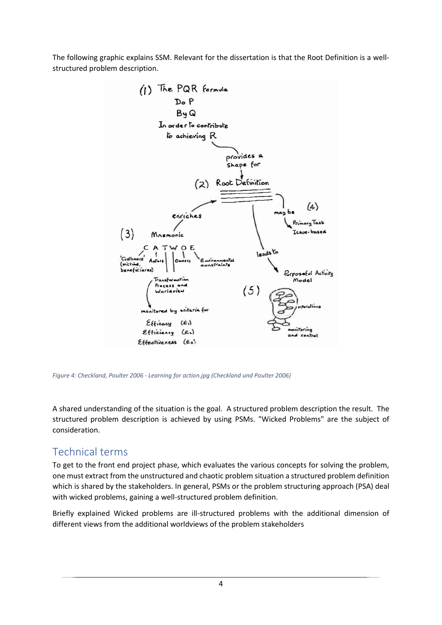The following graphic explains SSM. Relevant for the dissertation is that the Root Definition is a wellstructured problem description.



*Figure 4: Checkland, Poulter 2006 - Learning for action.jpg (Checkland und Poulter 2006)*

A shared understanding of the situation is the goal. A structured problem description the result. The structured problem description is achieved by using PSMs. "Wicked Problems" are the subject of consideration.

#### <span id="page-4-0"></span>Technical terms

To get to the front end project phase, which evaluates the various concepts for solving the problem, one must extract from the unstructured and chaotic problem situation a structured problem definition which is shared by the stakeholders. In general, PSMs or the problem structuring approach (PSA) deal with wicked problems, gaining a well-structured problem definition.

Briefly explained Wicked problems are ill-structured problems with the additional dimension of different views from the additional worldviews of the problem stakeholders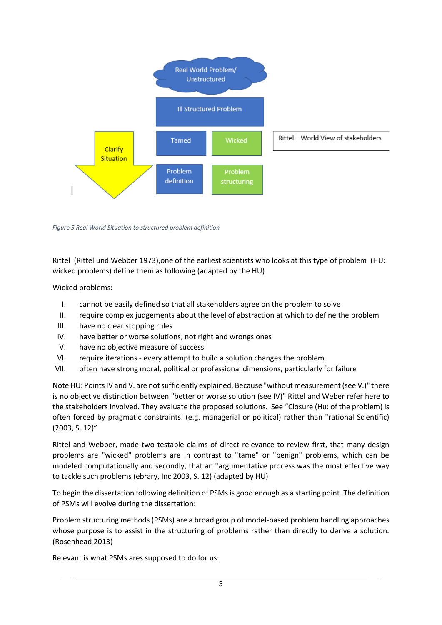

*Figure 5 Real World Situation to structured problem definition*

Rittel (Rittel und Webber 1973),one of the earliest scientists who looks at this type of problem (HU: wicked problems) define them as following (adapted by the HU)

Wicked problems:

- I. cannot be easily defined so that all stakeholders agree on the problem to solve
- II. require complex judgements about the level of abstraction at which to define the problem
- III. have no clear stopping rules
- IV. have better or worse solutions, not right and wrongs ones
- V. have no objective measure of success
- VI. require iterations every attempt to build a solution changes the problem
- VII. often have strong moral, political or professional dimensions, particularly for failure

Note HU: Points IV and V. are not sufficiently explained. Because "without measurement (see V.)" there is no objective distinction between "better or worse solution (see IV)" Rittel and Weber refer here to the stakeholders involved. They evaluate the proposed solutions. See "Closure (Hu: of the problem) is often forced by pragmatic constraints. (e.g. managerial or political) rather than "rational Scientific) (2003, S. 12)"

Rittel and Webber, made two testable claims of direct relevance to review first, that many design problems are "wicked" problems are in contrast to "tame" or "benign" problems, which can be modeled computationally and secondly, that an "argumentative process was the most effective way to tackle such problems (ebrary, Inc 2003, S. 12) (adapted by HU)

To begin the dissertation following definition of PSMs is good enough as a starting point. The definition of PSMs will evolve during the dissertation:

Problem structuring methods (PSMs) are a broad group of model-based problem handling approaches whose purpose is to assist in the structuring of problems rather than directly to derive a solution. (Rosenhead 2013)

Relevant is what PSMs ares supposed to do for us: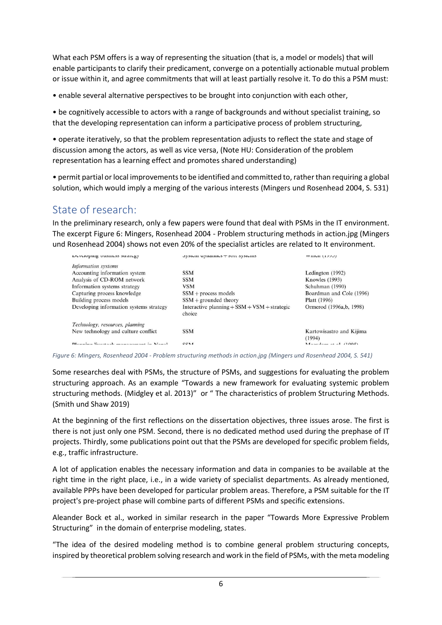What each PSM offers is a way of representing the situation (that is, a model or models) that will enable participants to clarify their predicament, converge on a potentially actionable mutual problem or issue within it, and agree commitments that will at least partially resolve it. To do this a PSM must:

• enable several alternative perspectives to be brought into conjunction with each other,

• be cognitively accessible to actors with a range of backgrounds and without specialist training, so that the developing representation can inform a participative process of problem structuring,

• operate iteratively, so that the problem representation adjusts to reflect the state and stage of discussion among the actors, as well as vice versa, (Note HU: Consideration of the problem representation has a learning effect and promotes shared understanding)

• permit partial or local improvements to be identified and committed to, rather than requiring a global solution, which would imply a merging of the various interests (Mingers und Rosenhead 2004, S. 531)

#### <span id="page-6-0"></span>State of research:

In the preliminary research, only a few papers were found that deal with PSMs in the IT environment. The excerpt Figure 6: Mingers, Rosenhead 2004 - Problem structuring methods in action.jpg (Mingers und Rosenhead 2004) shows not even 20% of the specialist articles are related to It environment.

| Developing business strategy            | эуэкин чунанно ⊤ эон эуэкинэ                                 | $V$ V IIIUII $(1777)$              |
|-----------------------------------------|--------------------------------------------------------------|------------------------------------|
| Information systems                     |                                                              |                                    |
| Accounting information system           | <b>SSM</b>                                                   | Ledington (1992)                   |
| Analysis of CD-ROM network              | <b>SSM</b>                                                   | <b>Knowles</b> (1993)              |
| Information systems strategy            | <b>VSM</b>                                                   | Schuhman (1990)                    |
| Capturing process knowledge             | $SSM +$ process models                                       | Boardman and Cole (1996)           |
| Building process models                 | $SSM +$ grounded theory                                      | Platt (1996)                       |
| Developing information systems strategy | Interactive planning $+$ SSM $+$ VSM $+$ strategic<br>choice | Ormerod (1996a, b, 1998)           |
| Technology, resources, planning         |                                                              |                                    |
| New technology and culture conflict     | <b>SSM</b>                                                   | Kartowisastro and Kijima<br>(1994) |
| Dlanning livestook management in Negal  | CCAA                                                         | $M$ goodam at al $(1005)$          |

*Figure 6: Mingers, Rosenhead 2004 - Problem structuring methods in action.jpg (Mingers und Rosenhead 2004, S. 541)*

Some researches deal with PSMs, the structure of PSMs, and suggestions for evaluating the problem structuring approach. As an example "Towards a new framework for evaluating systemic problem structuring methods. (Midgley et al. 2013)" or " The characteristics of problem Structuring Methods. (Smith und Shaw 2019)

At the beginning of the first reflections on the dissertation objectives, three issues arose. The first is there is not just only one PSM. Second, there is no dedicated method used during the prephase of IT projects. Thirdly, some publications point out that the PSMs are developed for specific problem fields, e.g., traffic infrastructure.

A lot of application enables the necessary information and data in companies to be available at the right time in the right place, i.e., in a wide variety of specialist departments. As already mentioned, available PPPs have been developed for particular problem areas. Therefore, a PSM suitable for the IT project's pre-project phase will combine parts of different PSMs and specific extensions.

Aleander Bock et al., worked in similar research in the paper "Towards More Expressive Problem Structuring" in the domain of enterprise modeling, states.

"The idea of the desired modeling method is to combine general problem structuring concepts, inspired by theoretical problem solving research and work in the field of PSMs, with the meta modeling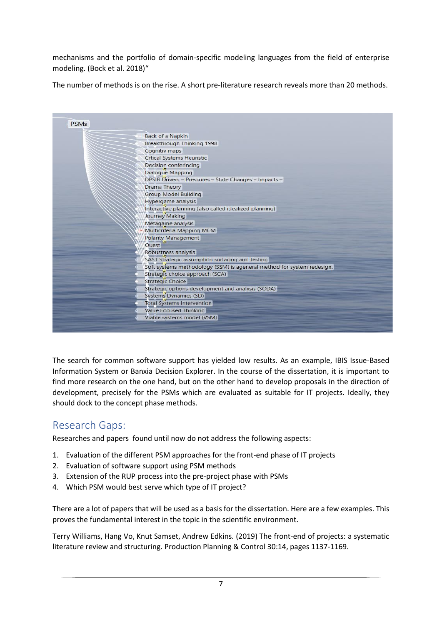mechanisms and the portfolio of domain-specific modeling languages from the field of enterprise modeling. (Bock et al. 2018)"

The number of methods is on the rise. A short pre-literature research reveals more than 20 methods.



The search for common software support has yielded low results. As an example, IBIS Issue-Based Information System or Banxia Decision Explorer. In the course of the dissertation, it is important to find more research on the one hand, but on the other hand to develop proposals in the direction of development, precisely for the PSMs which are evaluated as suitable for IT projects. Ideally, they should dock to the concept phase methods.

### <span id="page-7-0"></span>Research Gaps:

Researches and papers found until now do not address the following aspects:

- 1. Evaluation of the different PSM approaches for the front-end phase of IT projects
- 2. Evaluation of software support using PSM methods
- 3. Extension of the RUP process into the pre-project phase with PSMs
- 4. Which PSM would best serve which type of IT project?

There are a lot of papers that will be used as a basis for the dissertation. Here are a few examples. This proves the fundamental interest in the topic in the scientific environment.

Terry Williams, Hang Vo, Knut Samset, Andrew Edkins. (2019) [The front-end of projects: a systematic](https://www.tandfonline.com/doi/abs/10.1080/09537287.2019.1594429)  [literature review and structuring.](https://www.tandfonline.com/doi/abs/10.1080/09537287.2019.1594429) Production Planning & Control 30:14, pages 1137-1169.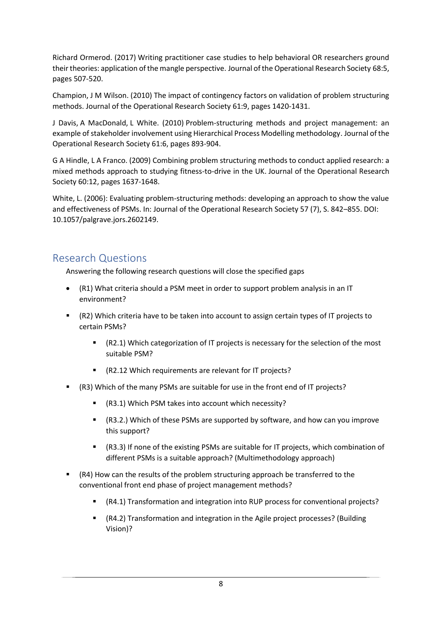Richard Ormerod. (2017) [Writing practitioner case studies to help behavioral OR researchers ground](https://www.tandfonline.com/doi/abs/10.1057/s41274-016-0011-8)  [their theories: application of the mangle perspective.](https://www.tandfonline.com/doi/abs/10.1057/s41274-016-0011-8) Journal of the Operational Research Society 68:5, pages 507-520.

Champion, J M Wilson. (2010) [The impact of contingency factors on validation of problem structuring](https://www.tandfonline.com/doi/abs/10.1057/jors.2009.94)  [methods.](https://www.tandfonline.com/doi/abs/10.1057/jors.2009.94) Journal of the Operational Research Society 61:9, pages 1420-1431.

J Davis, A MacDonald, L White. (2010) [Problem-structuring methods and project management: an](https://www.tandfonline.com/doi/abs/10.1057/jors.2010.12)  [example of stakeholder involvement using Hierarchical Process Modelling methodology.](https://www.tandfonline.com/doi/abs/10.1057/jors.2010.12) Journal of the Operational Research Society 61:6, pages 893-904.

G A Hindle, L A Franco. (2009) [Combining problem structuring methods to conduct applied research: a](https://www.tandfonline.com/doi/abs/10.1057/jors.2008.125)  [mixed methods approach to studying fitness-to-drive in the UK.](https://www.tandfonline.com/doi/abs/10.1057/jors.2008.125) Journal of the Operational Research Society 60:12, pages 1637-1648.

White, L. (2006): Evaluating problem-structuring methods: developing an approach to show the value and effectiveness of PSMs. In: Journal of the Operational Research Society 57 (7), S. 842–855. DOI: 10.1057/palgrave.jors.2602149.

#### <span id="page-8-0"></span>Research Questions

Answering the following research questions will close the specified gaps

- (R1) What criteria should a PSM meet in order to support problem analysis in an IT environment?
- (R2) Which criteria have to be taken into account to assign certain types of IT projects to certain PSMs?
	- $(R2.1)$  Which categorization of IT projects is necessary for the selection of the most suitable PSM?
	- (R2.12 Which requirements are relevant for IT projects?
- (R3) Which of the many PSMs are suitable for use in the front end of IT projects?
	- (R3.1) Which PSM takes into account which necessity?
	- (R3.2.) Which of these PSMs are supported by software, and how can you improve this support?
	- (R3.3) If none of the existing PSMs are suitable for IT projects, which combination of different PSMs is a suitable approach? (Multimethodology approach)
- (R4) How can the results of the problem structuring approach be transferred to the conventional front end phase of project management methods?
	- (R4.1) Transformation and integration into RUP process for conventional projects?
	- (R4.2) Transformation and integration in the Agile project processes? (Building Vision)?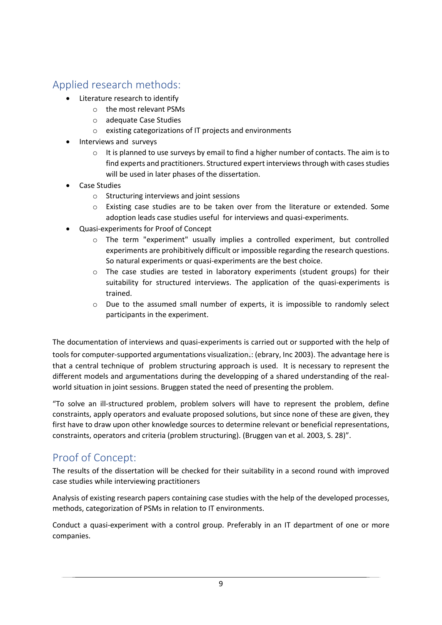# <span id="page-9-0"></span>Applied research methods:

- Literature research to identify
	- o the most relevant PSMs
	- o adequate Case Studies
	- o existing categorizations of IT projects and environments
- Interviews and surveys
	- $\circ$  It is planned to use surveys by email to find a higher number of contacts. The aim is to find experts and practitioners. Structured expert interviews through with cases studies will be used in later phases of the dissertation.
- Case Studies
	- o Structuring interviews and joint sessions
	- $\circ$  Existing case studies are to be taken over from the literature or extended. Some adoption leads case studies useful for interviews and quasi-experiments.
- Quasi-experiments for Proof of Concept
	- o The term "experiment" usually implies a controlled experiment, but controlled experiments are prohibitively difficult or impossible regarding the research questions. So natural experiments or quasi-experiments are the best choice.
	- $\circ$  The case studies are tested in laboratory experiments (student groups) for their suitability for structured interviews. The application of the quasi-experiments is trained.
	- o Due to the assumed small number of experts, it is impossible to randomly select participants in the experiment.

The documentation of interviews and quasi-experiments is carried out or supported with the help of tools for computer-supported argumentations visualization.: (ebrary, Inc 2003). The advantage here is that a central technique of problem structuring approach is used. It is necessary to represent the different models and argumentations during the developping of a shared understanding of the realworld situation in joint sessions. Bruggen stated the need of presenting the problem.

"To solve an ill-structured problem, problem solvers will have to represent the problem, define constraints, apply operators and evaluate proposed solutions, but since none of these are given, they first have to draw upon other knowledge sources to determine relevant or beneficial representations, constraints, operators and criteria (problem structuring). (Bruggen van et al. 2003, S. 28)".

### <span id="page-9-1"></span>Proof of Concept:

The results of the dissertation will be checked for their suitability in a second round with improved case studies while interviewing practitioners

Analysis of existing research papers containing case studies with the help of the developed processes, methods, categorization of PSMs in relation to IT environments.

Conduct a quasi-experiment with a control group. Preferably in an IT department of one or more companies.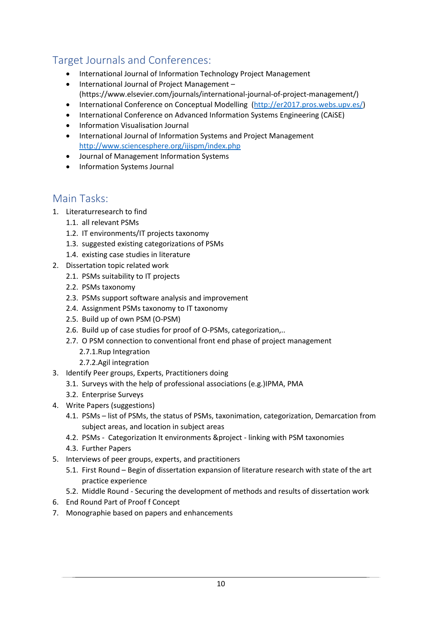# <span id="page-10-0"></span>Target Journals and Conferences:

- International Journal of Information Technology Project Management
- International Journal of Project Management (https://www.elsevier.com/journals/international-journal-of-project-management/)
- International Conference on Conceptual Modelling [\(http://er2017.pros.webs.upv.es/\)](http://er2017.pros.webs.upv.es/)
- International Conference on Advanced Information Systems Engineering (CAiSE)
- Information Visualisation Journal
- International Journal of Information Systems and Project Management <http://www.sciencesphere.org/ijispm/index.php>
- Journal of Management Information Systems
- Information Systems Journal

#### <span id="page-10-1"></span>Main Tasks:

- 1. Literaturresearch to find
	- 1.1. all relevant PSMs
	- 1.2. IT environments/IT projects taxonomy
	- 1.3. suggested existing categorizations of PSMs
	- 1.4. existing case studies in literature
- 2. Dissertation topic related work
	- 2.1. PSMs suitability to IT projects
	- 2.2. PSMs taxonomy
	- 2.3. PSMs support software analysis and improvement
	- 2.4. Assignment PSMs taxonomy to IT taxonomy
	- 2.5. Build up of own PSM (O-PSM)
	- 2.6. Build up of case studies for proof of O-PSMs, categorization,..
	- 2.7. O PSM connection to conventional front end phase of project management
		- 2.7.1.Rup Integration
		- 2.7.2.Agil integration
- 3. Identify Peer groups, Experts, Practitioners doing
	- 3.1. Surveys with the help of professional associations (e.g.)IPMA, PMA
	- 3.2. Enterprise Surveys
- 4. Write Papers (suggestions)
	- 4.1. PSMs list of PSMs, the status of PSMs, taxonimation, categorization, Demarcation from subject areas, and location in subject areas
	- 4.2. PSMs Categorization It environments &project linking with PSM taxonomies
	- 4.3. Further Papers
- 5. Interviews of peer groups, experts, and practitioners
	- 5.1. First Round Begin of dissertation expansion of literature research with state of the art practice experience
	- 5.2. Middle Round Securing the development of methods and results of dissertation work
- 6. End Round Part of Proof f Concept
- 7. Monographie based on papers and enhancements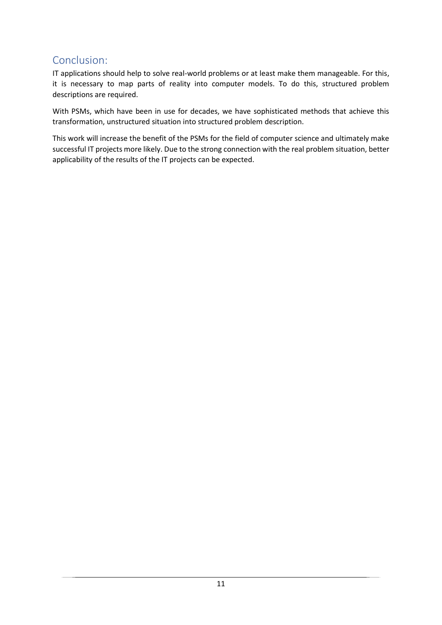### <span id="page-11-0"></span>Conclusion:

IT applications should help to solve real-world problems or at least make them manageable. For this, it is necessary to map parts of reality into computer models. To do this, structured problem descriptions are required.

With PSMs, which have been in use for decades, we have sophisticated methods that achieve this transformation, unstructured situation into structured problem description.

This work will increase the benefit of the PSMs for the field of computer science and ultimately make successful IT projects more likely. Due to the strong connection with the real problem situation, better applicability of the results of the IT projects can be expected.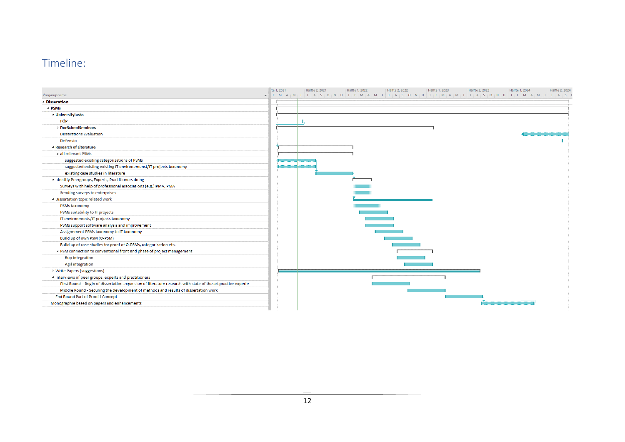# Timeline:

<span id="page-12-0"></span>

|                                                                                                             | Ite 1, 2021 | Hälfte 2, 2021 | Hälfte 1, 2022 | Hälfte 2, 2022 | Hälfte 1, 2023 | Hälfte 2, 2023 |                                                                                                                                                                                                           | Hälfte 1, 2024 | Hälfte 2, 2024 |
|-------------------------------------------------------------------------------------------------------------|-------------|----------------|----------------|----------------|----------------|----------------|-----------------------------------------------------------------------------------------------------------------------------------------------------------------------------------------------------------|----------------|----------------|
| Vorgangsname                                                                                                |             |                |                |                |                |                | F   M   A   M   J   J   A   S   O   N   D   J   F   M   A   M   J   J   A   S   O   N   D   J   F   M   A   M   J   J   J   F   M   A   M   J   J   A   S   O   N   O   J   F   M   A   M   J   J   A   S |                |                |
| <sup>4</sup> Disseration                                                                                    |             |                |                |                |                |                |                                                                                                                                                                                                           |                |                |
| ⊿ PSMs                                                                                                      |             |                |                |                |                |                |                                                                                                                                                                                                           |                |                |
| <sup>4</sup> Universitytasks                                                                                |             |                |                |                |                |                |                                                                                                                                                                                                           |                |                |
| FÖP                                                                                                         |             |                |                |                |                |                |                                                                                                                                                                                                           |                |                |
| <b>DocSchoolSeminars</b>                                                                                    |             |                |                |                |                |                |                                                                                                                                                                                                           |                |                |
| <b>Disserations Evaluation</b>                                                                              |             |                |                |                |                |                |                                                                                                                                                                                                           |                |                |
| Defensio                                                                                                    |             |                |                |                |                |                |                                                                                                                                                                                                           |                |                |
| 4 Research of Literature                                                                                    |             |                |                |                |                |                |                                                                                                                                                                                                           |                |                |
| a all relevant PSMs                                                                                         |             |                |                |                |                |                |                                                                                                                                                                                                           |                |                |
| suggested existing categorizations of PSMs                                                                  |             |                |                |                |                |                |                                                                                                                                                                                                           |                |                |
| suggested existing existing IT environemenst/IT projects taxonomy                                           |             |                |                |                |                |                |                                                                                                                                                                                                           |                |                |
| existing case studies in literature                                                                         |             |                |                |                |                |                |                                                                                                                                                                                                           |                |                |
| 4 Identify Peergroups, Experts, Practitioners doing                                                         |             |                |                |                |                |                |                                                                                                                                                                                                           |                |                |
| Surveys with help of professional associations (e.g.) IPMA, PMA                                             |             |                |                |                |                |                |                                                                                                                                                                                                           |                |                |
| Sending surveys to enterprises                                                                              |             |                |                |                |                |                |                                                                                                                                                                                                           |                |                |
| 4 Dissertation topic related work                                                                           |             |                |                |                |                |                |                                                                                                                                                                                                           |                |                |
| PSMs taxonomy                                                                                               |             |                |                |                |                |                |                                                                                                                                                                                                           |                |                |
| PSMs suitability to IT projects                                                                             |             |                |                |                |                |                |                                                                                                                                                                                                           |                |                |
| IT environments/IT projects taxonomy                                                                        |             |                |                |                |                |                |                                                                                                                                                                                                           |                |                |
| PSMs support software analysis and improvement                                                              |             |                |                |                |                |                |                                                                                                                                                                                                           |                |                |
| Assignement PSMs taxonomy to IT taxonomy                                                                    |             |                |                |                |                |                |                                                                                                                                                                                                           |                |                |
| Build up of own PSM (O-PSM)                                                                                 |             |                |                |                |                |                |                                                                                                                                                                                                           |                |                |
| Build up of case studies for proof of O-PSMs, categorization etc.                                           |             |                |                |                |                |                |                                                                                                                                                                                                           |                |                |
| ▲ PSM connection to conventional front end phase of project management                                      |             |                |                |                |                |                |                                                                                                                                                                                                           |                |                |
| <b>Rup Integration</b>                                                                                      |             |                |                |                |                |                |                                                                                                                                                                                                           |                |                |
| <b>Agil integration</b>                                                                                     |             |                |                |                |                |                |                                                                                                                                                                                                           |                |                |
| ▷ Write Papers (suggestions)                                                                                |             |                |                |                |                |                |                                                                                                                                                                                                           |                |                |
| 4 Interviews of peer groups, experts and practitioners                                                      |             |                |                |                |                |                |                                                                                                                                                                                                           |                |                |
| First Round - Begin of dissertation expansion of literature research with state of the art practice experie |             |                |                |                |                |                |                                                                                                                                                                                                           |                |                |
| Middle Round - Securing the development of methods and results of dissertation work                         |             |                |                |                |                |                |                                                                                                                                                                                                           |                |                |
| End Round Part of Proof f Concept                                                                           |             |                |                |                |                |                |                                                                                                                                                                                                           |                |                |
| Monographie based on papers and enhancements                                                                |             |                |                |                |                |                |                                                                                                                                                                                                           |                |                |
|                                                                                                             |             |                |                |                |                |                |                                                                                                                                                                                                           |                |                |